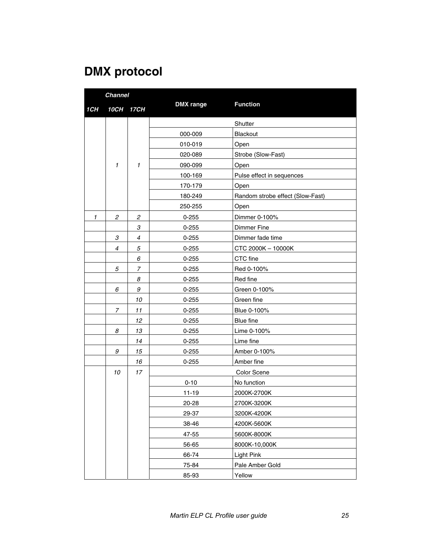## **DMX protocol**

|     | <b>Channel</b> |                |                  |                                  |
|-----|----------------|----------------|------------------|----------------------------------|
| 1CH | 10CH           | <b>17CH</b>    | <b>DMX</b> range | <b>Function</b>                  |
|     |                |                |                  | Shutter                          |
|     |                |                | 000-009          | <b>Blackout</b>                  |
|     |                |                | 010-019          | Open                             |
|     |                |                | 020-089          | Strobe (Slow-Fast)               |
|     | $\mathbf{1}$   | $\mathbf{1}$   | 090-099          | Open                             |
|     |                |                | 100-169          | Pulse effect in sequences        |
|     |                |                | 170-179          | Open                             |
|     |                |                | 180-249          | Random strobe effect (Slow-Fast) |
|     |                |                | 250-255          | Open                             |
| 1   | $\mathfrak{p}$ | $\mathfrak{p}$ | $0 - 255$        | Dimmer 0-100%                    |
|     |                | 3              | $0 - 255$        | <b>Dimmer Fine</b>               |
|     | 3              | $\overline{4}$ | $0 - 255$        | Dimmer fade time                 |
|     | 4              | 5              | $0 - 255$        | CTC 2000K - 10000K               |
|     |                | 6              | $0 - 255$        | CTC fine                         |
|     | 5              | 7              | $0 - 255$        | Red 0-100%                       |
|     |                | 8              | $0 - 255$        | Red fine                         |
|     | 6              | 9              | $0 - 255$        | Green 0-100%                     |
|     |                | 10             | $0 - 255$        | Green fine                       |
|     | 7              | 11             | $0 - 255$        | Blue 0-100%                      |
|     |                | 12             | $0 - 255$        | Blue fine                        |
|     | 8              | 13             | $0 - 255$        | Lime 0-100%                      |
|     |                | 14             | $0 - 255$        | Lime fine                        |
|     | 9              | 15             | $0 - 255$        | Amber 0-100%                     |
|     |                | 16             | $0 - 255$        | Amber fine                       |
|     | 10             | 17             |                  | Color Scene                      |
|     |                |                | $0 - 10$         | No function                      |
|     |                |                | $11 - 19$        | 2000K-2700K                      |
|     |                |                | 20-28            | 2700K-3200K                      |
|     |                |                | 29-37            | 3200K-4200K                      |
|     |                |                | 38-46            | 4200K-5600K                      |
|     |                |                | 47-55            | 5600K-8000K                      |
|     |                |                | 56-65            | 8000K-10,000K                    |
|     |                |                | 66-74            | <b>Light Pink</b>                |
|     |                |                | 75-84            | Pale Amber Gold                  |
|     |                |                | 85-93            | Yellow                           |